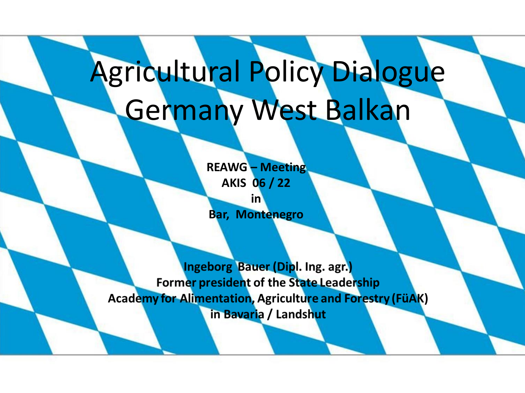## Agricultural Policy Dialogue Germany West Balkan

**REAWG – Meeting AKIS 06 / 22 in Bar, Montenegro**

Ingeborg Bauer (Dipl. Ing. agr.) Former president of the State Leadership **Academy for Alimentation, Agriculture and Forestry (FüAK)** in Bavaria / Landshut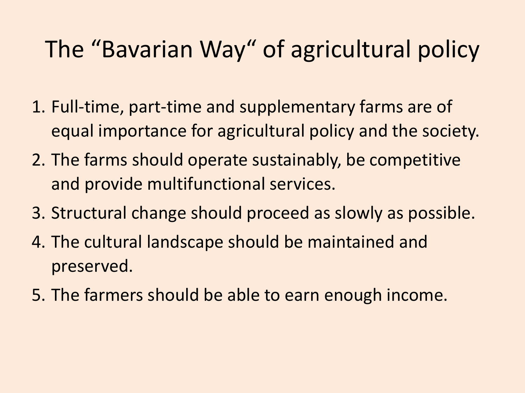#### The "Bavarian Way" of agricultural policy

- 1. Full-time, part-time and supplementary farms are of equal importance for agricultural policy and the society.
- 2. The farms should operate sustainably, be competitive and provide multifunctional services.
- 3. Structural change should proceed as slowly as possible.
- 4. The cultural landscape should be maintained and preserved.
- 5. The farmers should be able to earn enough income.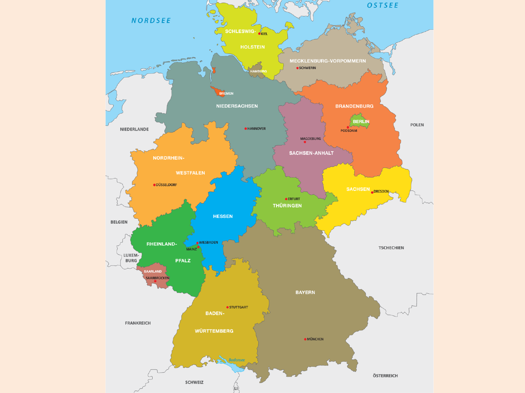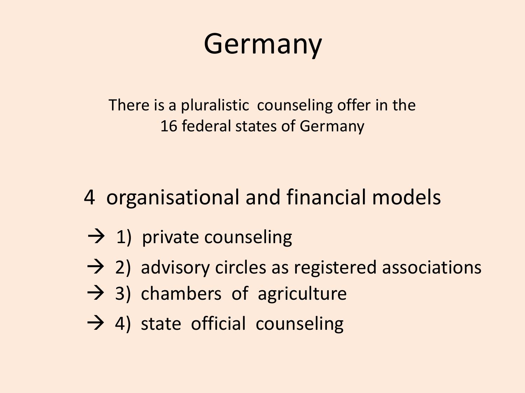#### Germany

There is a pluralistic counseling offer in the 16 federal states of Germany

- 4 organisational and financial models
- $\rightarrow$  1) private counseling
- $\rightarrow$  2) advisory circles as registered associations
- $\rightarrow$  3) chambers of agriculture
- $\rightarrow$  4) state official counseling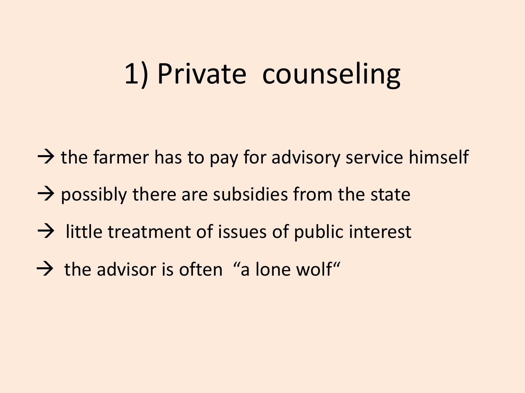#### 1) Private counseling

- $\rightarrow$  the farmer has to pay for advisory service himself
- $\rightarrow$  possibly there are subsidies from the state
- $\rightarrow$  little treatment of issues of public interest
- $\rightarrow$  the advisor is often "a lone wolf"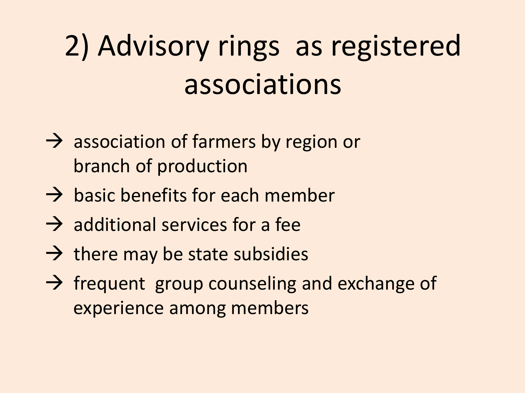## 2) Advisory rings as registered associations

- $\rightarrow$  association of farmers by region or branch of production
- $\rightarrow$  basic benefits for each member
- $\rightarrow$  additional services for a fee
- $\rightarrow$  there may be state subsidies
- $\rightarrow$  frequent group counseling and exchange of experience among members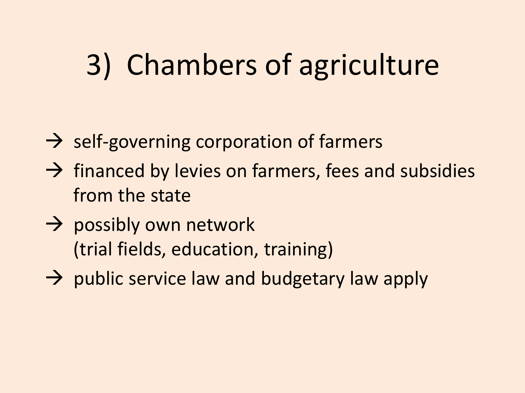### 3) Chambers of agriculture

- $\rightarrow$  self-governing corporation of farmers
- $\rightarrow$  financed by levies on farmers, fees and subsidies from the state
- $\rightarrow$  possibly own network (trial fields, education, training)
- $\rightarrow$  public service law and budgetary law apply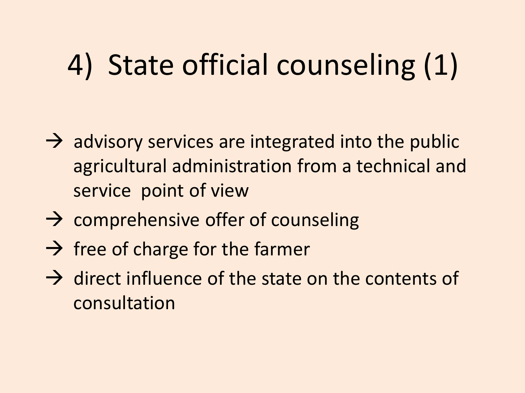### 4) State official counseling (1)

- $\rightarrow$  advisory services are integrated into the public agricultural administration from a technical and service point of view
- $\rightarrow$  comprehensive offer of counseling
- $\rightarrow$  free of charge for the farmer
- $\rightarrow$  direct influence of the state on the contents of consultation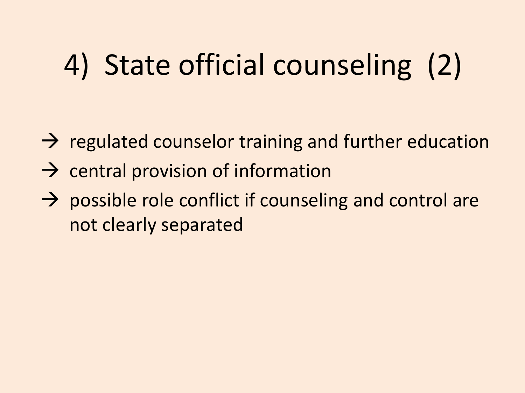## 4) State official counseling (2)

- $\rightarrow$  regulated counselor training and further education
- $\rightarrow$  central provision of information
- $\rightarrow$  possible role conflict if counseling and control are not clearly separated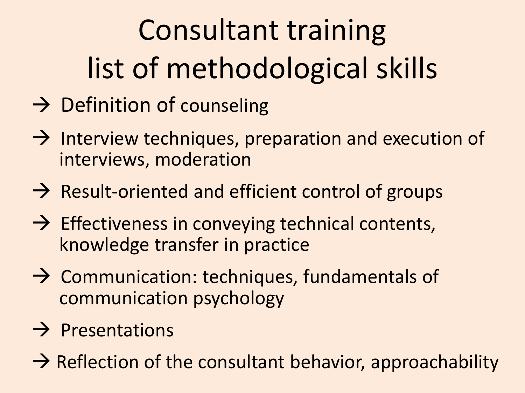# Consultant training list of methodological skills

- $\rightarrow$  Definition of counseling
- $\rightarrow$  Interview techniques, preparation and execution of interviews, moderation
- $\rightarrow$  Result-oriented and efficient control of groups
- $\rightarrow$  Effectiveness in conveying technical contents, knowledge transfer in practice
- $\rightarrow$  Communication: techniques, fundamentals of communication psychology
- $\rightarrow$  Presentations
- $\rightarrow$  Reflection of the consultant behavior, approachability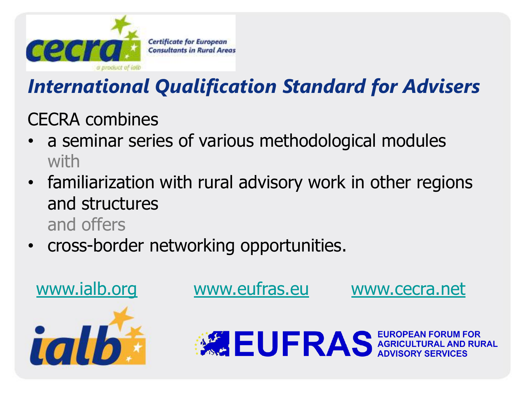

#### *International Qualification Standard for Advisers*

CECRA combines

- a seminar series of various methodological modules with
- familiarization with rural advisory work in other regions and structures and offers
- cross-border networking opportunities.



**ASSEUFRAS** EUROPEAN FORUM FOR